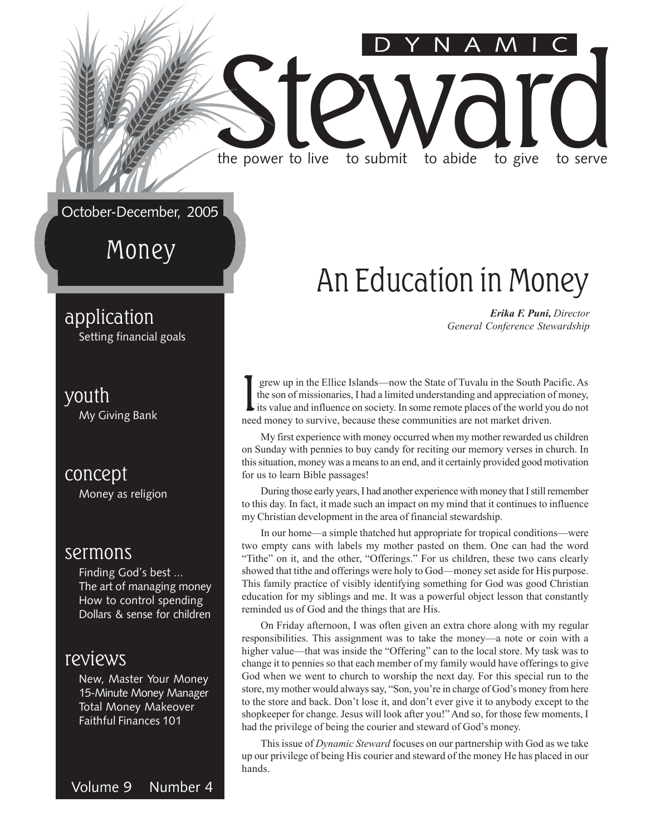#### October-December, 2005

Money

#### application

Setting financial goals

#### youth

My Giving Bank

#### concept

Money as religion

#### sermons

Finding God's best ... The art of managing money How to control spending Dollars & sense for children

#### reviews

New, Master Your Money 15-Minute Money Manager Total Money Makeover Faithful Finances 101

#### Volume 9 Number 4

### An Education in Money

DYNAMIC

Erika F. Puni, Director General Conference Stewardship

I grew up in the Ellice Islands—now the State of Tuvalu in the South Pa the son of missionaries, I had a limited understanding and appreciation of its value and influence on society. In some remote places of the world yo n grew up in the Ellice Islands—now the State of Tuvalu in the South Pacific. As the son of missionaries, I had a limited understanding and appreciation of money, its value and influence on society. In some remote places of the world you do not

Steward live to submit to abide to give to serve

the power to live to submit to abide to give to serve

My first experience with money occurred when my mother rewarded us children on Sunday with pennies to buy candy for reciting our memory verses in church. In this situation, money was a means to an end, and it certainly provided good motivation for us to learn Bible passages!

During those early years, I had another experience with money that I still remember to this day. In fact, it made such an impact on my mind that it continues to influence my Christian development in the area of financial stewardship.

In our home—a simple thatched hut appropriate for tropical conditions—were two empty cans with labels my mother pasted on them. One can had the word "Tithe" on it, and the other, "Offerings." For us children, these two cans clearly showed that tithe and offerings were holy to God—money set aside for His purpose. This family practice of visibly identifying something for God was good Christian education for my siblings and me. It was a powerful object lesson that constantly reminded us of God and the things that are His.

On Friday afternoon, I was often given an extra chore along with my regular responsibilities. This assignment was to take the money—a note or coin with a higher value—that was inside the "Offering" can to the local store. My task was to change it to pennies so that each member of my family would have offerings to give God when we went to church to worship the next day. For this special run to the store, my mother would always say, "Son, you're in charge of God's money from here to the store and back. Don't lose it, and don't ever give it to anybody except to the shopkeeper for change. Jesus will look after you!" And so, for those few moments, I had the privilege of being the courier and steward of God's money.

This issue of Dynamic Steward focuses on our partnership with God as we take up our privilege of being His courier and steward of the money He has placed in our hands.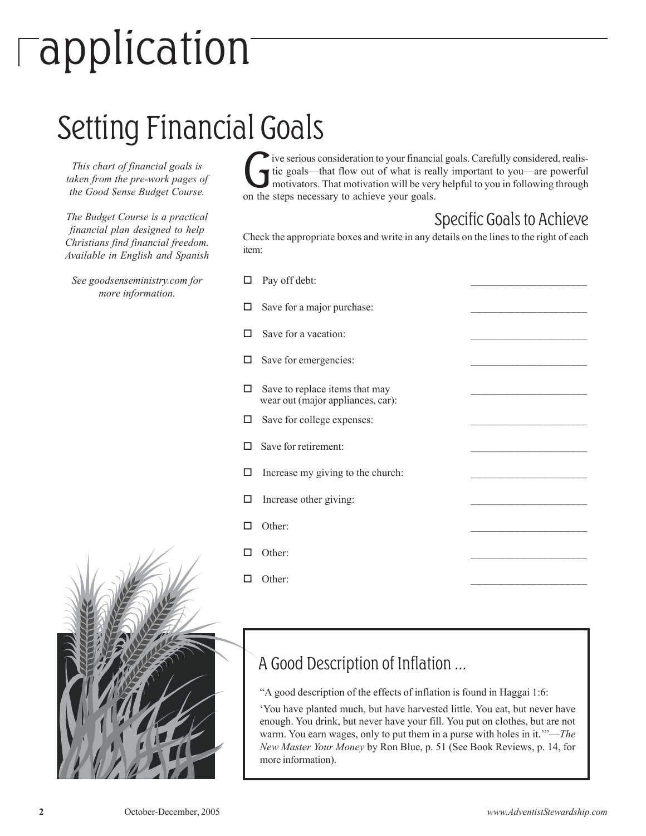## application

### Setting Financial Goals

This chart of financial goals is taken from the pre-work pages of the Good \$ense Budget Course.

The Budget Course is a practical financial plan designed to help Christians find financial freedom. Available in English and Spanish

See goodsenseministry.com for more information.

The serious consideration to your financi<br>tic goals—that flow out of what is rea<br>motivators. That motivation will be ver<br>on the steps necessary to achieve your goals. ive serious consideration to your financial goals. Carefully considered, realistic goals—that flow out of what is really important to you—are powerful motivators. That motivation will be very helpful to you in following through

#### Specific Goals to Achieve

Check the appropriate boxes and write in any details on the lines to the right of each item:

| ιı | Pay off debt:                                                       |  |
|----|---------------------------------------------------------------------|--|
| □  | Save for a major purchase:                                          |  |
|    | Save for a vacation:                                                |  |
| □  | Save for emergencies:                                               |  |
| □  | Save to replace items that may<br>wear out (major appliances, car): |  |
| □  | Save for college expenses:                                          |  |
| п  | Save for retirement:                                                |  |
| ◻  | Increase my giving to the church:                                   |  |
| □  | Increase other giving:                                              |  |
| П  | Other:                                                              |  |
| ПI | Other:                                                              |  |
|    | Other:                                                              |  |



#### A Good Description of Inflation ...

"A good description of the effects of inflation is found in Haggai 1:6:

'You have planted much, but have harvested little. You eat, but never have enough. You drink, but never have your fill. You put on clothes, but are not warm. You earn wages, only to put them in a purse with holes in it.""—*The* New Master Your Money by Ron Blue, p. 51 (See Book Reviews, p. 14, for more information).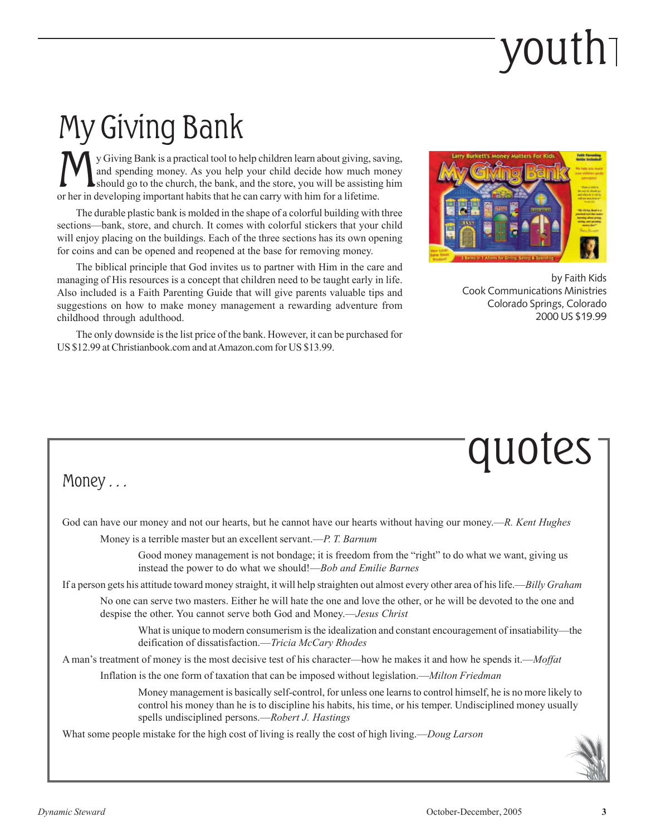## youth

### My Giving Bank

W y Giving Bank is a practical tool to help children learn about giving, saint and spending money. As you help your child decide how much m should go to the church, the bank, and the store, you will be assisting or her in y Giving Bank is a practical tool to help children learn about giving, saving, and spending money. As you help your child decide how much money should go to the church, the bank, and the store, you will be assisting him

The durable plastic bank is molded in the shape of a colorful building with three sections—bank, store, and church. It comes with colorful stickers that your child will enjoy placing on the buildings. Each of the three sections has its own opening for coins and can be opened and reopened at the base for removing money.

The biblical principle that God invites us to partner with Him in the care and managing of His resources is a concept that children need to be taught early in life. Also included is a Faith Parenting Guide that will give parents valuable tips and suggestions on how to make money management a rewarding adventure from childhood through adulthood.

The only downside is the list price of the bank. However, it can be purchased for US \$12.99 at Christianbook.com and at Amazon.com for US \$13.99.



by Faith Kids Cook Communications Ministries Colorado Springs, Colorado 2000 US \$19.99

### quotes

#### Money . . .

God can have our money and not our hearts, but he cannot have our hearts without having our money.—R. Kent Hughes

Money is a terrible master but an excellent servant.—P. T. Barnum

Good money management is not bondage; it is freedom from the "right" to do what we want, giving us instead the power to do what we should!—Bob and Emilie Barnes

If a person gets his attitude toward money straight, it will help straighten out almost every other area of his life.—Billy Graham

No one can serve two masters. Either he will hate the one and love the other, or he will be devoted to the one and despise the other. You cannot serve both God and Money.—*Jesus Christ* 

What is unique to modern consumerism is the idealization and constant encouragement of insatiability—the deification of dissatisfaction.—Tricia McCary Rhodes

A man's treatment of money is the most decisive test of his character—how he makes it and how he spends it.—Moffat

Inflation is the one form of taxation that can be imposed without legislation.—Milton Friedman

Money management is basically self-control, for unless one learns to control himself, he is no more likely to control his money than he is to discipline his habits, his time, or his temper. Undisciplined money usually spells undisciplined persons.—Robert J. Hastings

What some people mistake for the high cost of living is really the cost of high living.—Doug Larson

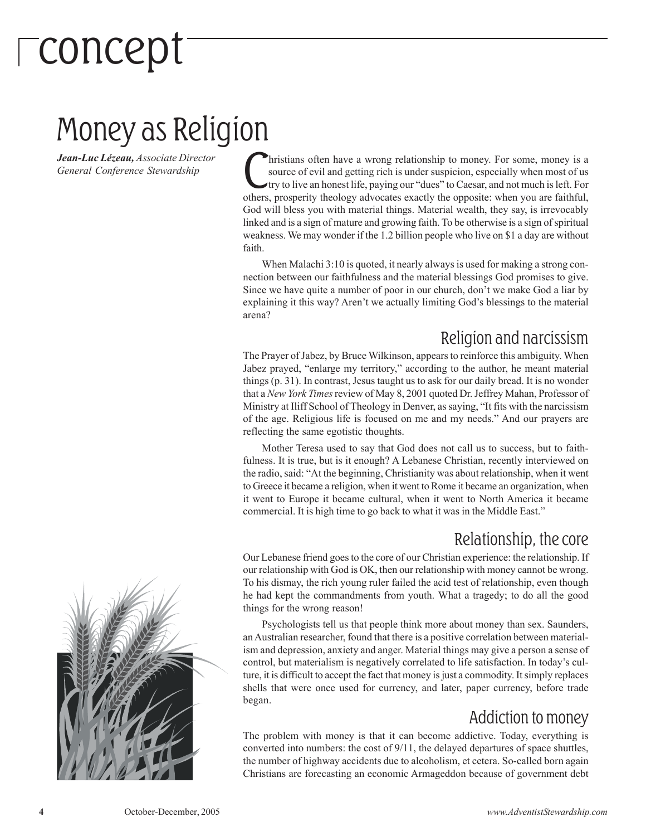## concept

### Money as Religion

Jean-Luc Lézeau, Associate Director<br>General Conference Stewardship<br>others

hristians often have a wrong relationship to money. For some, money is a source of evil and getting rich is under suspicion, especially when most of us try to live an honest life, paying our "dues" to Caesar, and not much is left. For others, prosperity theology advocates exactly the opposite: when you are faithful, God will bless you with material things. Material wealth, they say, is irrevocably linked and is a sign of mature and growing faith. To be otherwise is a sign of spiritual weakness. We may wonder if the 1.2 billion people who live on \$1 a day are without faith.

When Malachi 3:10 is quoted, it nearly always is used for making a strong connection between our faithfulness and the material blessings God promises to give. Since we have quite a number of poor in our church, don't we make God a liar by explaining it this way? Aren't we actually limiting God's blessings to the material arena?

#### Religion and narcissism

The Prayer of Jabez, by Bruce Wilkinson, appears to reinforce this ambiguity. When Jabez prayed, "enlarge my territory," according to the author, he meant material things (p. 31). In contrast, Jesus taught us to ask for our daily bread. It is no wonder that a New York Times review of May 8, 2001 quoted Dr. Jeffrey Mahan, Professor of Ministry at Iliff School of Theology in Denver, as saying, "It fits with the narcissism of the age. Religious life is focused on me and my needs." And our prayers are reflecting the same egotistic thoughts.

Mother Teresa used to say that God does not call us to success, but to faithfulness. It is true, but is it enough? A Lebanese Christian, recently interviewed on the radio, said: "At the beginning, Christianity was about relationship, when it went to Greece it became a religion, when it went to Rome it became an organization, when it went to Europe it became cultural, when it went to North America it became commercial. It is high time to go back to what it was in the Middle East."

#### Relationship, the core

Our Lebanese friend goes to the core of our Christian experience: the relationship. If our relationship with God is OK, then our relationship with money cannot be wrong. To his dismay, the rich young ruler failed the acid test of relationship, even though he had kept the commandments from youth. What a tragedy; to do all the good things for the wrong reason!

Psychologists tell us that people think more about money than sex. Saunders, an Australian researcher, found that there is a positive correlation between materialism and depression, anxiety and anger. Material things may give a person a sense of control, but materialism is negatively correlated to life satisfaction. In today's culture, it is difficult to accept the fact that money is just a commodity. It simply replaces shells that were once used for currency, and later, paper currency, before trade began.

#### Addiction to money

The problem with money is that it can become addictive. Today, everything is converted into numbers: the cost of 9/11, the delayed departures of space shuttles, the number of highway accidents due to alcoholism, et cetera. So-called born again Christians are forecasting an economic Armageddon because of government debt

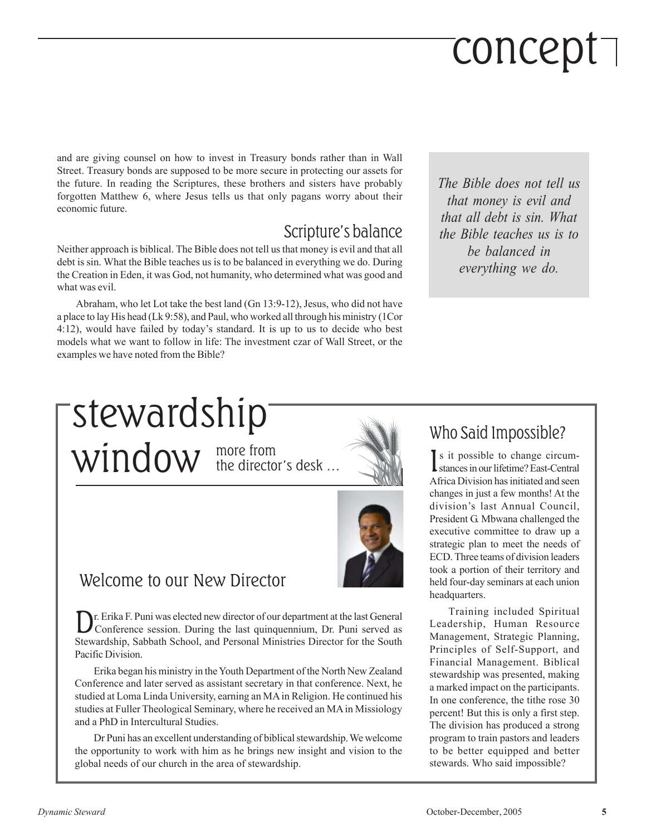## concept

and are giving counsel on how to invest in Treasury bonds rather than in Wall Street. Treasury bonds are supposed to be more secure in protecting our assets for the future. In reading the Scriptures, these brothers and sisters have probably forgotten Matthew 6, where Jesus tells us that only pagans worry about their economic future.

#### Scripture's balance

Neither approach is biblical. The Bible does not tell us that money is evil and that all debt is sin. What the Bible teaches us is to be balanced in everything we do. During the Creation in Eden, it was God, not humanity, who determined what was good and what was evil.

Abraham, who let Lot take the best land (Gn 13:9-12), Jesus, who did not have a place to lay His head (Lk 9:58), and Paul, who worked all through his ministry (1Cor 4:12), would have failed by today's standard. It is up to us to decide who best models what we want to follow in life: The investment czar of Wall Street, or the examples we have noted from the Bible?

The Bible does not tell us that money is evil and that all debt is sin. What the Bible teaches us is to be balanced in everything we do.

#### more from  $window$  the director's desk ... stewardship



Welcome to our New Director

D r. Erika F. Puni was elected new director of our department at the last General Conference session. During the last quinquennium, Dr. Puni served as Stewardship, Sabbath School, and Personal Ministries Director for the South Pacific Division.

Erika began his ministry in the Youth Department of the North New Zealand Conference and later served as assistant secretary in that conference. Next, he studied at Loma Linda University, earning an MA in Religion. He continued his studies at Fuller Theological Seminary, where he received an MA in Missiology and a PhD in Intercultural Studies.

Dr Puni has an excellent understanding of biblical stewardship. We welcome the opportunity to work with him as he brings new insight and vision to the global needs of our church in the area of stewardship.

#### Who Said Impossible?

Is it possible to change circum-<br>stances in our lifetime? East-Central stances in our lifetime? East-Central Africa Division has initiated and seen changes in just a few months! At the division's last Annual Council, President G. Mbwana challenged the executive committee to draw up a strategic plan to meet the needs of ECD. Three teams of division leaders took a portion of their territory and held four-day seminars at each union headquarters.

Training included Spiritual Leadership, Human Resource Management, Strategic Planning, Principles of Self-Support, and Financial Management. Biblical stewardship was presented, making a marked impact on the participants. In one conference, the tithe rose 30 percent! But this is only a first step. The division has produced a strong program to train pastors and leaders to be better equipped and better stewards. Who said impossible?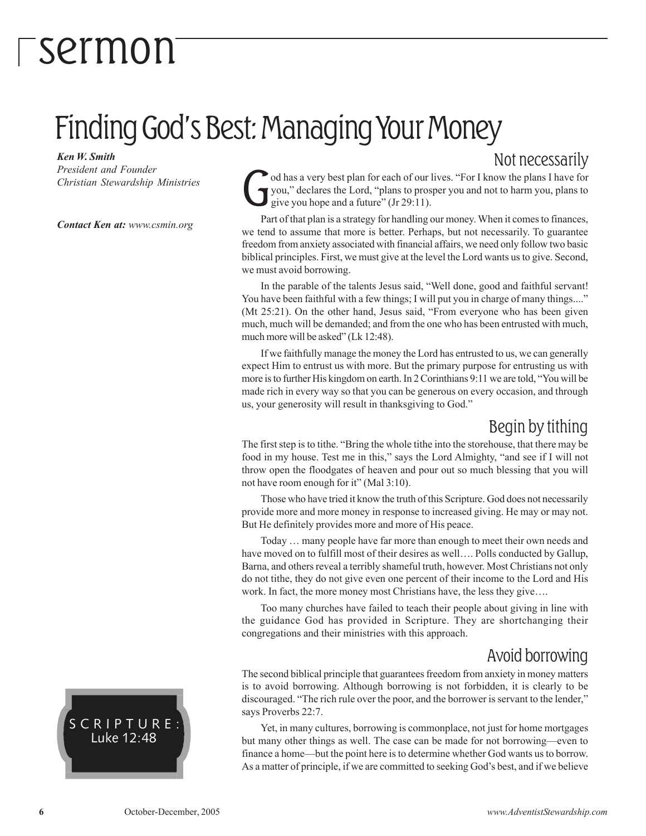### Finding God's Best: Managing Your Money

Ken W. Smith

President and Founder Christian Stewardship Ministries

Contact Ken at: www.csmin.org

Not necessarily

G od has a very best plan for each of our lives. "For I know the plans I have for you," declares the Lord, "plans to prosper you and not to harm you, plans to give you hope and a future" (Jr 29:11).

Part of that plan is a strategy for handling our money. When it comes to finances, we tend to assume that more is better. Perhaps, but not necessarily. To guarantee freedom from anxiety associated with financial affairs, we need only follow two basic biblical principles. First, we must give at the level the Lord wants us to give. Second, we must avoid borrowing.

In the parable of the talents Jesus said, "Well done, good and faithful servant! You have been faithful with a few things; I will put you in charge of many things...." (Mt 25:21). On the other hand, Jesus said, "From everyone who has been given much, much will be demanded; and from the one who has been entrusted with much, much more will be asked" (Lk 12:48).

If we faithfully manage the money the Lord has entrusted to us, we can generally expect Him to entrust us with more. But the primary purpose for entrusting us with more is to further His kingdom on earth. In 2 Corinthians 9:11 we are told, "You will be made rich in every way so that you can be generous on every occasion, and through us, your generosity will result in thanksgiving to God."

#### Begin by tithing

The first step is to tithe. "Bring the whole tithe into the storehouse, that there may be food in my house. Test me in this," says the Lord Almighty, "and see if I will not throw open the floodgates of heaven and pour out so much blessing that you will not have room enough for it" (Mal 3:10).

Those who have tried it know the truth of this Scripture. God does not necessarily provide more and more money in response to increased giving. He may or may not. But He definitely provides more and more of His peace.

Today … many people have far more than enough to meet their own needs and have moved on to fulfill most of their desires as well…. Polls conducted by Gallup, Barna, and others reveal a terribly shameful truth, however. Most Christians not only do not tithe, they do not give even one percent of their income to the Lord and His work. In fact, the more money most Christians have, the less they give….

Too many churches have failed to teach their people about giving in line with the guidance God has provided in Scripture. They are shortchanging their congregations and their ministries with this approach.

#### Avoid borrowing

The second biblical principle that guarantees freedom from anxiety in money matters is to avoid borrowing. Although borrowing is not forbidden, it is clearly to be discouraged. "The rich rule over the poor, and the borrower is servant to the lender," says Proverbs 22:7.

Yet, in many cultures, borrowing is commonplace, not just for home mortgages but many other things as well. The case can be made for not borrowing—even to finance a home—but the point here is to determine whether God wants us to borrow. As a matter of principle, if we are committed to seeking God's best, and if we believe

SCRIPTURE: Luke 12:48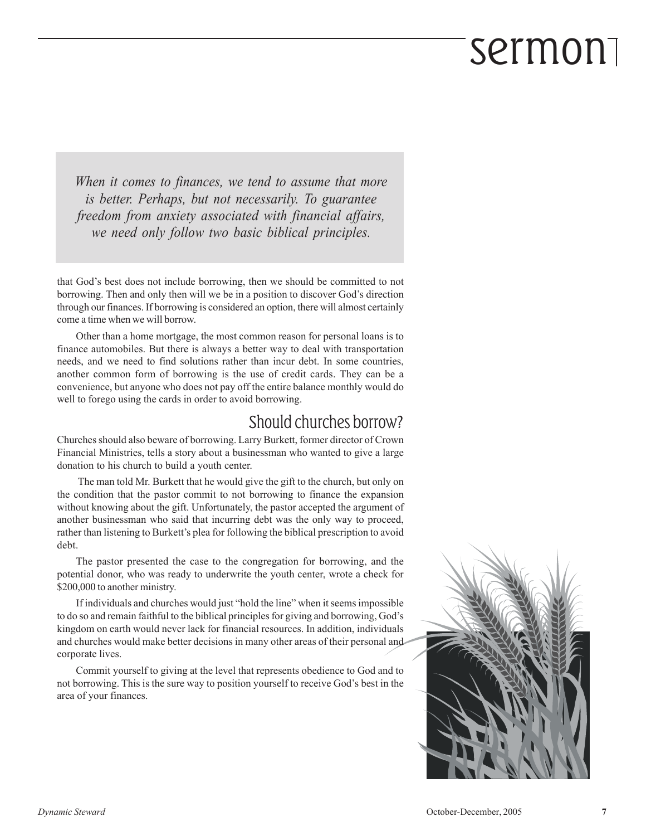When it comes to finances, we tend to assume that more is better. Perhaps, but not necessarily. To guarantee freedom from anxiety associated with financial affairs, we need only follow two basic biblical principles.

that God's best does not include borrowing, then we should be committed to not borrowing. Then and only then will we be in a position to discover God's direction through our finances. If borrowing is considered an option, there will almost certainly come a time when we will borrow.

Other than a home mortgage, the most common reason for personal loans is to finance automobiles. But there is always a better way to deal with transportation needs, and we need to find solutions rather than incur debt. In some countries, another common form of borrowing is the use of credit cards. They can be a convenience, but anyone who does not pay off the entire balance monthly would do well to forego using the cards in order to avoid borrowing.

#### Should churches borrow?

Churches should also beware of borrowing. Larry Burkett, former director of Crown Financial Ministries, tells a story about a businessman who wanted to give a large donation to his church to build a youth center.

The man told Mr. Burkett that he would give the gift to the church, but only on the condition that the pastor commit to not borrowing to finance the expansion without knowing about the gift. Unfortunately, the pastor accepted the argument of another businessman who said that incurring debt was the only way to proceed, rather than listening to Burkett's plea for following the biblical prescription to avoid debt.

The pastor presented the case to the congregation for borrowing, and the potential donor, who was ready to underwrite the youth center, wrote a check for \$200,000 to another ministry.

If individuals and churches would just "hold the line" when it seems impossible to do so and remain faithful to the biblical principles for giving and borrowing, God's kingdom on earth would never lack for financial resources. In addition, individuals and churches would make better decisions in many other areas of their personal and corporate lives.

Commit yourself to giving at the level that represents obedience to God and to not borrowing. This is the sure way to position yourself to receive God's best in the area of your finances.

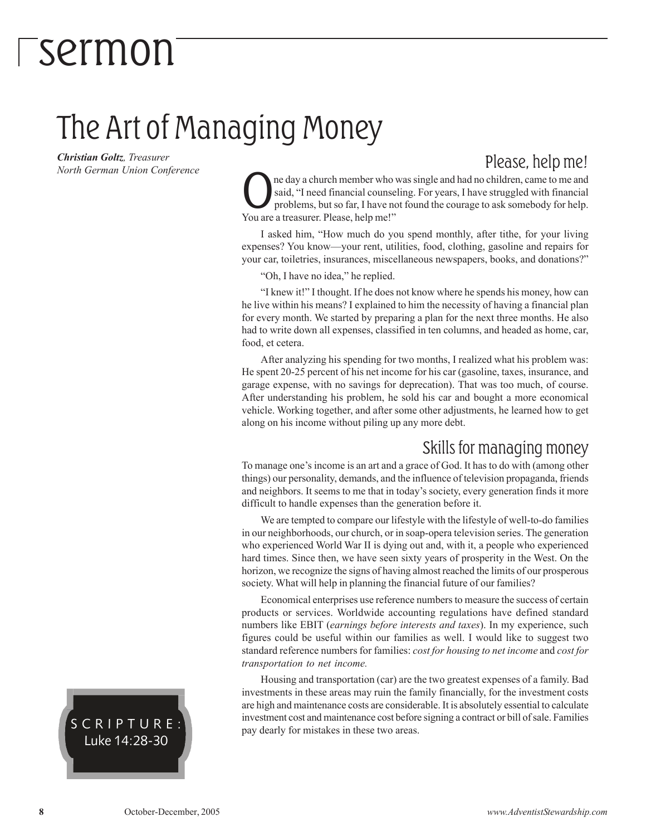### The Art of Managing Money

Christian Goltz, Treasurer North German Union Conference

#### Please, help me!

Casaid, "I need financial counse<br>problems, but so far, I have no<br>You are a treasurer. Please, help me!" ne day a church member who was single and had no children, came to me and said, "I need financial counseling. For years, I have struggled with financial problems, but so far, I have not found the courage to ask somebody for help.

I asked him, "How much do you spend monthly, after tithe, for your living expenses? You know—your rent, utilities, food, clothing, gasoline and repairs for your car, toiletries, insurances, miscellaneous newspapers, books, and donations?"

"Oh, I have no idea," he replied.

"I knew it!" I thought. If he does not know where he spends his money, how can he live within his means? I explained to him the necessity of having a financial plan for every month. We started by preparing a plan for the next three months. He also had to write down all expenses, classified in ten columns, and headed as home, car, food, et cetera.

After analyzing his spending for two months, I realized what his problem was: He spent 20-25 percent of his net income for his car (gasoline, taxes, insurance, and garage expense, with no savings for deprecation). That was too much, of course. After understanding his problem, he sold his car and bought a more economical vehicle. Working together, and after some other adjustments, he learned how to get along on his income without piling up any more debt.

#### Skills for managing money

To manage one's income is an art and a grace of God. It has to do with (among other things) our personality, demands, and the influence of television propaganda, friends and neighbors. It seems to me that in today's society, every generation finds it more difficult to handle expenses than the generation before it.

We are tempted to compare our lifestyle with the lifestyle of well-to-do families in our neighborhoods, our church, or in soap-opera television series. The generation who experienced World War II is dying out and, with it, a people who experienced hard times. Since then, we have seen sixty years of prosperity in the West. On the horizon, we recognize the signs of having almost reached the limits of our prosperous society. What will help in planning the financial future of our families?

Economical enterprises use reference numbers to measure the success of certain products or services. Worldwide accounting regulations have defined standard numbers like EBIT (earnings before interests and taxes). In my experience, such figures could be useful within our families as well. I would like to suggest two standard reference numbers for families: cost for housing to net income and cost for transportation to net income.

Housing and transportation (car) are the two greatest expenses of a family. Bad investments in these areas may ruin the family financially, for the investment costs are high and maintenance costs are considerable. It is absolutely essential to calculate investment cost and maintenance cost before signing a contract or bill of sale. Families pay dearly for mistakes in these two areas.

SCRIPTURE: Luke 14:28-30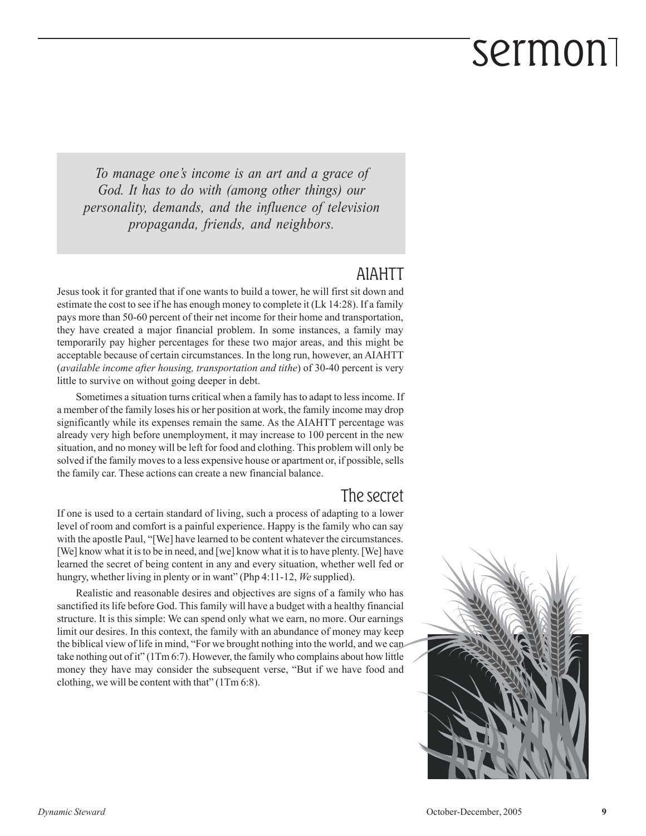To manage one's income is an art and a grace of God. It has to do with (among other things) our personality, demands, and the influence of television propaganda, friends, and neighbors.

#### AIAHTT

Jesus took it for granted that if one wants to build a tower, he will first sit down and estimate the cost to see if he has enough money to complete it (Lk 14:28). If a family pays more than 50-60 percent of their net income for their home and transportation, they have created a major financial problem. In some instances, a family may temporarily pay higher percentages for these two major areas, and this might be acceptable because of certain circumstances. In the long run, however, an AIAHTT (available income after housing, transportation and tithe) of 30-40 percent is very little to survive on without going deeper in debt.

Sometimes a situation turns critical when a family has to adapt to less income. If a member of the family loses his or her position at work, the family income may drop significantly while its expenses remain the same. As the AIAHTT percentage was already very high before unemployment, it may increase to 100 percent in the new situation, and no money will be left for food and clothing. This problem will only be solved if the family moves to a less expensive house or apartment or, if possible, sells the family car. These actions can create a new financial balance.

#### The secret

If one is used to a certain standard of living, such a process of adapting to a lower level of room and comfort is a painful experience. Happy is the family who can say with the apostle Paul, "[We] have learned to be content whatever the circumstances. [We] know what it is to be in need, and [we] know what it is to have plenty. [We] have learned the secret of being content in any and every situation, whether well fed or hungry, whether living in plenty or in want" (Php 4:11-12, We supplied).

Realistic and reasonable desires and objectives are signs of a family who has sanctified its life before God. This family will have a budget with a healthy financial structure. It is this simple: We can spend only what we earn, no more. Our earnings limit our desires. In this context, the family with an abundance of money may keep the biblical view of life in mind, "For we brought nothing into the world, and we can take nothing out of it" (1Tm 6:7). However, the family who complains about how little money they have may consider the subsequent verse, "But if we have food and clothing, we will be content with that" (1Tm 6:8).

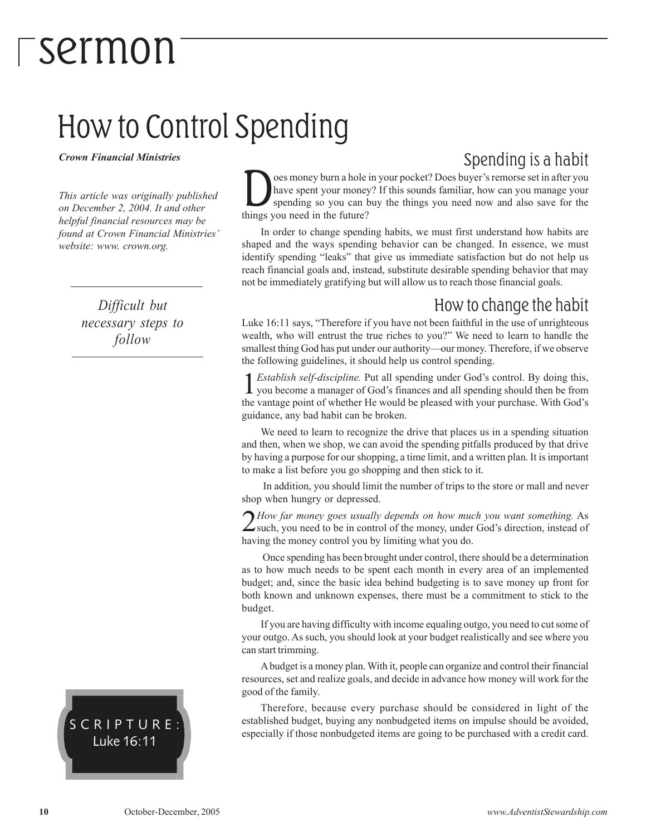### How to Control Spending

Crown Financial Ministries

This article was originally published on December 2, 2004. It and other helpful financial resources may be found at Crown Financial Ministries' website: www. crown.org.

> Difficult but necessary steps to follow

#### SCRIPTURE: Luke 16:11

#### Spending is a habit

 $\sum_{\text{spec among} } s = 1$  have spent your money<br>spending so you can be future? oes money burn a hole in your pocket? Does buyer's remorse set in after you have spent your money? If this sounds familiar, how can you manage your spending so you can buy the things you need now and also save for the

In order to change spending habits, we must first understand how habits are shaped and the ways spending behavior can be changed. In essence, we must identify spending "leaks" that give us immediate satisfaction but do not help us reach financial goals and, instead, substitute desirable spending behavior that may not be immediately gratifying but will allow us to reach those financial goals.

#### How to change the habit

Luke 16:11 says, "Therefore if you have not been faithful in the use of unrighteous wealth, who will entrust the true riches to you?" We need to learn to handle the smallest thing God has put under our authority—our money. Therefore, if we observe the following guidelines, it should help us control spending.

**1** *Establish self-discipline*. Put all spending under God's control. By doing this, you become a manager of God's finances and all spending should then be from the vantage point of whether He would be pleased with your p Establish self-discipline. Put all spending under God's control. By doing this, you become a manager of God's finances and all spending should then be from guidance, any bad habit can be broken.

We need to learn to recognize the drive that places us in a spending situation and then, when we shop, we can avoid the spending pitfalls produced by that drive by having a purpose for our shopping, a time limit, and a written plan. It is important to make a list before you go shopping and then stick to it.

 In addition, you should limit the number of trips to the store or mall and never shop when hungry or depressed.

How far money goes usually depends on how much you want something. As such, you need to be in control of the money, under God's direction, instead of  $\bigcap$  How far money goes usually depends on how much you want something. As having the money control you by limiting what you do.

 Once spending has been brought under control, there should be a determination as to how much needs to be spent each month in every area of an implemented budget; and, since the basic idea behind budgeting is to save money up front for both known and unknown expenses, there must be a commitment to stick to the budget.

If you are having difficulty with income equaling outgo, you need to cut some of your outgo. As such, you should look at your budget realistically and see where you can start trimming.

A budget is a money plan. With it, people can organize and control their financial resources, set and realize goals, and decide in advance how money will work for the good of the family.

Therefore, because every purchase should be considered in light of the established budget, buying any nonbudgeted items on impulse should be avoided, especially if those nonbudgeted items are going to be purchased with a credit card.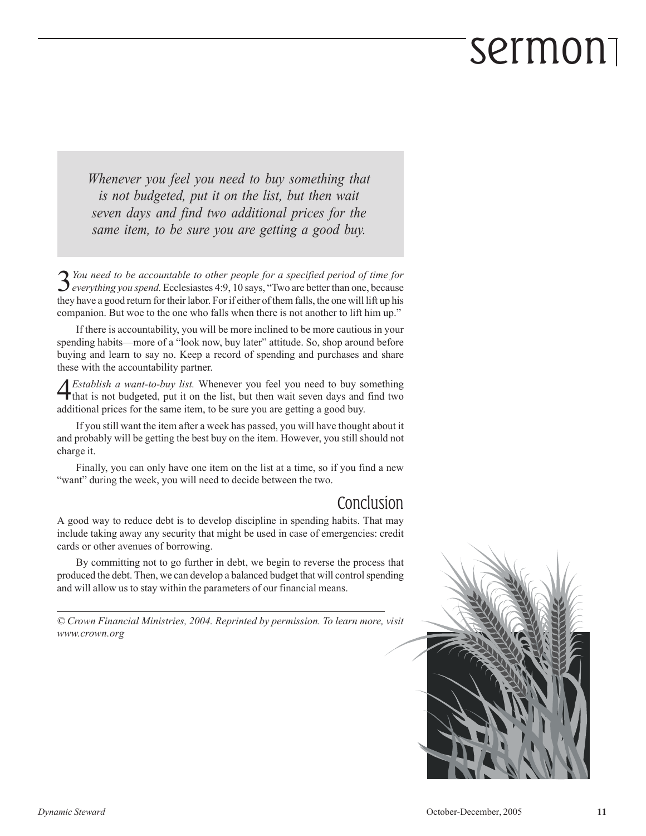Whenever you feel you need to buy something that is not budgeted, put it on the list, but then wait seven days and find two additional prices for the same item, to be sure you are getting a good buy.

3 You need to be accountable to other people for a specified period of time for<br>everything you spend. Ecclesiastes 4:9, 10 says, "Two are better than one, because  $\bigcap$  You need to be accountable to other people for a specified period of time for they have a good return for their labor. For if either of them falls, the one will lift up his companion. But woe to the one who falls when there is not another to lift him up."

If there is accountability, you will be more inclined to be more cautious in your spending habits—more of a "look now, buy later" attitude. So, shop around before buying and learn to say no. Keep a record of spending and purchases and share these with the accountability partner.

**4** *Establish a want-to-buy list*. Whenever you feel you need to buy something that is not budgeted, put it on the list, but then wait seven days and find two that is not budgeted, put it on the list, but then wait seven days and find two additional prices for the same item, to be sure you are getting a good buy.

If you still want the item after a week has passed, you will have thought about it and probably will be getting the best buy on the item. However, you still should not charge it.

Finally, you can only have one item on the list at a time, so if you find a new "want" during the week, you will need to decide between the two.

#### Conclusion

A good way to reduce debt is to develop discipline in spending habits. That may include taking away any security that might be used in case of emergencies: credit cards or other avenues of borrowing.

By committing not to go further in debt, we begin to reverse the process that produced the debt. Then, we can develop a balanced budget that will control spending and will allow us to stay within the parameters of our financial means.

© Crown Financial Ministries, 2004. Reprinted by permission. To learn more, visit www.crown.org

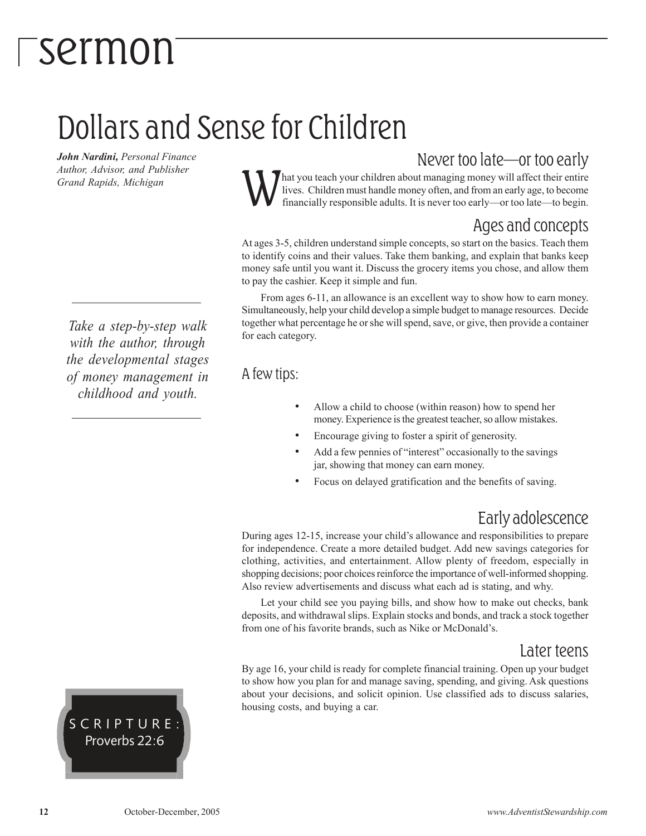### Dollars and Sense for Children

John Nardini, Personal Finance Author, Advisor, and Publisher Grand Rapids, Michigan

Never too late—or too early

W hat you teach your children about managing money will affect their entire lives. Children must handle money often, and from an early age, to become financially responsible adults. It is never too early—or too late—to begin.

#### Ages and concepts

At ages 3-5, children understand simple concepts, so start on the basics. Teach them to identify coins and their values. Take them banking, and explain that banks keep money safe until you want it. Discuss the grocery items you chose, and allow them to pay the cashier. Keep it simple and fun.

From ages 6-11, an allowance is an excellent way to show how to earn money. Simultaneously, help your child develop a simple budget to manage resources. Decide together what percentage he or she will spend, save, or give, then provide a container for each category.

#### A few tips:

- Allow a child to choose (within reason) how to spend her money. Experience is the greatest teacher, so allow mistakes.
- Encourage giving to foster a spirit of generosity.
- Add a few pennies of "interest" occasionally to the savings jar, showing that money can earn money.
- Focus on delayed gratification and the benefits of saving.

#### Early adolescence

During ages 12-15, increase your child's allowance and responsibilities to prepare for independence. Create a more detailed budget. Add new savings categories for clothing, activities, and entertainment. Allow plenty of freedom, especially in shopping decisions; poor choices reinforce the importance of well-informed shopping. Also review advertisements and discuss what each ad is stating, and why.

Let your child see you paying bills, and show how to make out checks, bank deposits, and withdrawal slips. Explain stocks and bonds, and track a stock together from one of his favorite brands, such as Nike or McDonald's.

#### Later teens

By age 16, your child is ready for complete financial training. Open up your budget to show how you plan for and manage saving, spending, and giving. Ask questions about your decisions, and solicit opinion. Use classified ads to discuss salaries, housing costs, and buying a car.

Take a step-by-step walk with the author, through the developmental stages of money management in childhood and youth.

SCRIPTURE: Proverbs 22:6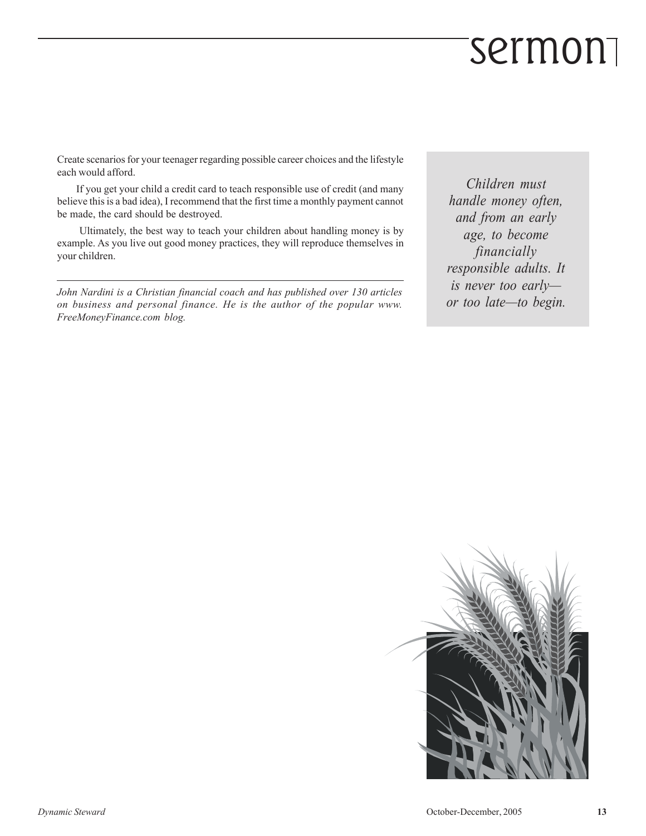Create scenarios for your teenager regarding possible career choices and the lifestyle each would afford.

If you get your child a credit card to teach responsible use of credit (and many believe this is a bad idea), I recommend that the first time a monthly payment cannot be made, the card should be destroyed.

 Ultimately, the best way to teach your children about handling money is by example. As you live out good money practices, they will reproduce themselves in your children.

John Nardini is a Christian financial coach and has published over 130 articles on business and personal finance. He is the author of the popular www. FreeMoneyFinance.com blog.

Children must handle money often, and from an early age, to become financially responsible adults. It is never too early or too late—to begin.

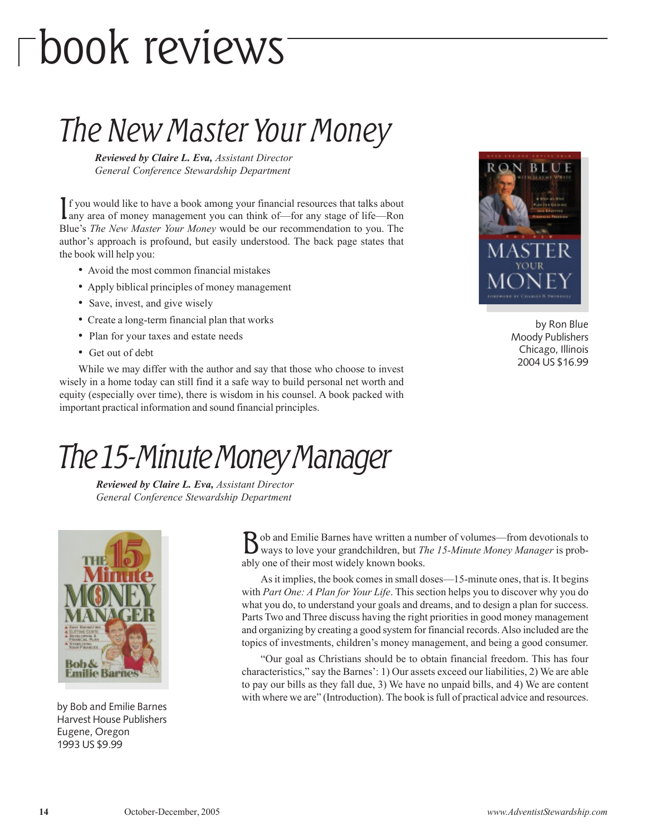## book reviews

### The New Master Your Money

Reviewed by Claire L. Eva, Assistant Director General Conference Stewardship Department

If you would like to have a book among your financial resources that talks about any area of money management you can think of—for any stage of life—Ron f you would like to have a book among your financial resources that talks about Blue's The New Master Your Money would be our recommendation to you. The author's approach is profound, but easily understood. The back page states that the book will help you:

- Avoid the most common financial mistakes
- Apply biblical principles of money management
- Save, invest, and give wisely
- Create a long-term financial plan that works
- Plan for your taxes and estate needs
- Get out of debt

While we may differ with the author and say that those who choose to invest wisely in a home today can still find it a safe way to build personal net worth and equity (especially over time), there is wisdom in his counsel. A book packed with important practical information and sound financial principles.



by Ron Blue Moody Publishers Chicago, Illinois 2004 US \$16.99

### The 15-Minute Money Manager

Reviewed by Claire L. Eva, Assistant Director General Conference Stewardship Department



by Bob and Emilie Barnes Harvest House Publishers Eugene, Oregon 1993 US \$9.99

B ob and Emilie Barnes have written a number of volumes—from devotionals to ways to love your grandchildren, but *The 15-Minute Money Manager* is probob and Emilie Barnes have written a number of volumes—from devotionals to ably one of their most widely known books.

As it implies, the book comes in small doses—15-minute ones, that is. It begins with Part One: A Plan for Your Life. This section helps you to discover why you do what you do, to understand your goals and dreams, and to design a plan for success. Parts Two and Three discuss having the right priorities in good money management and organizing by creating a good system for financial records. Also included are the topics of investments, children's money management, and being a good consumer.

"Our goal as Christians should be to obtain financial freedom. This has four characteristics," say the Barnes': 1) Our assets exceed our liabilities, 2) We are able to pay our bills as they fall due, 3) We have no unpaid bills, and 4) We are content with where we are" (Introduction). The book is full of practical advice and resources.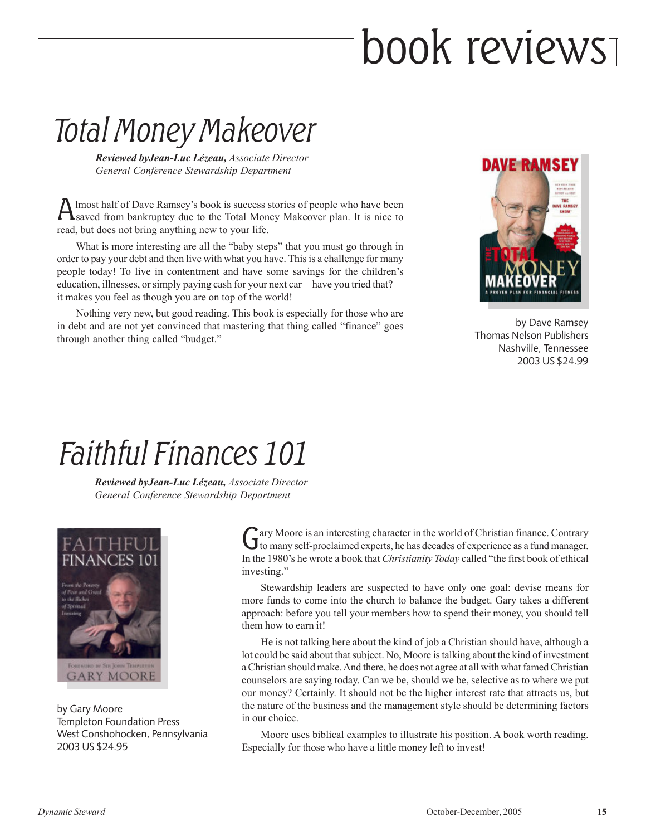## book reviews

### Total Money Makeover

Reviewed byJean-Luc Lézeau, Associate Director General Conference Stewardship Department

A lmost half of Dave Ramsey's book is success stories of people who have been<br>saved from bankruptcy due to the Total Money Makeover plan. It is nice to saved from bankruptcy due to the Total Money Makeover plan. It is nice to read, but does not bring anything new to your life.

What is more interesting are all the "baby steps" that you must go through in order to pay your debt and then live with what you have. This is a challenge for many people today! To live in contentment and have some savings for the children's education, illnesses, or simply paying cash for your next car—have you tried that? it makes you feel as though you are on top of the world!

Nothing very new, but good reading. This book is especially for those who are in debt and are not yet convinced that mastering that thing called "finance" goes through another thing called "budget."



by Dave Ramsey Thomas Nelson Publishers Nashville, Tennessee 2003 US \$24.99

### Faithful Finances 101

Reviewed byJean-Luc Lézeau, Associate Director General Conference Stewardship Department



by Gary Moore Templeton Foundation Press West Conshohocken, Pennsylvania 2003 US \$24.95

Gary Moore is an interesting character in the world of Christian finance. Contrary to many self-proclaimed experts, he has decades of experience as a fund manager. ary Moore is an interesting character in the world of Christian finance. Contrary In the 1980's he wrote a book that Christianity Today called "the first book of ethical investing."

Stewardship leaders are suspected to have only one goal: devise means for more funds to come into the church to balance the budget. Gary takes a different approach: before you tell your members how to spend their money, you should tell them how to earn it!

He is not talking here about the kind of job a Christian should have, although a lot could be said about that subject. No, Moore is talking about the kind of investment a Christian should make. And there, he does not agree at all with what famed Christian counselors are saying today. Can we be, should we be, selective as to where we put our money? Certainly. It should not be the higher interest rate that attracts us, but the nature of the business and the management style should be determining factors in our choice.

Moore uses biblical examples to illustrate his position. A book worth reading. Especially for those who have a little money left to invest!